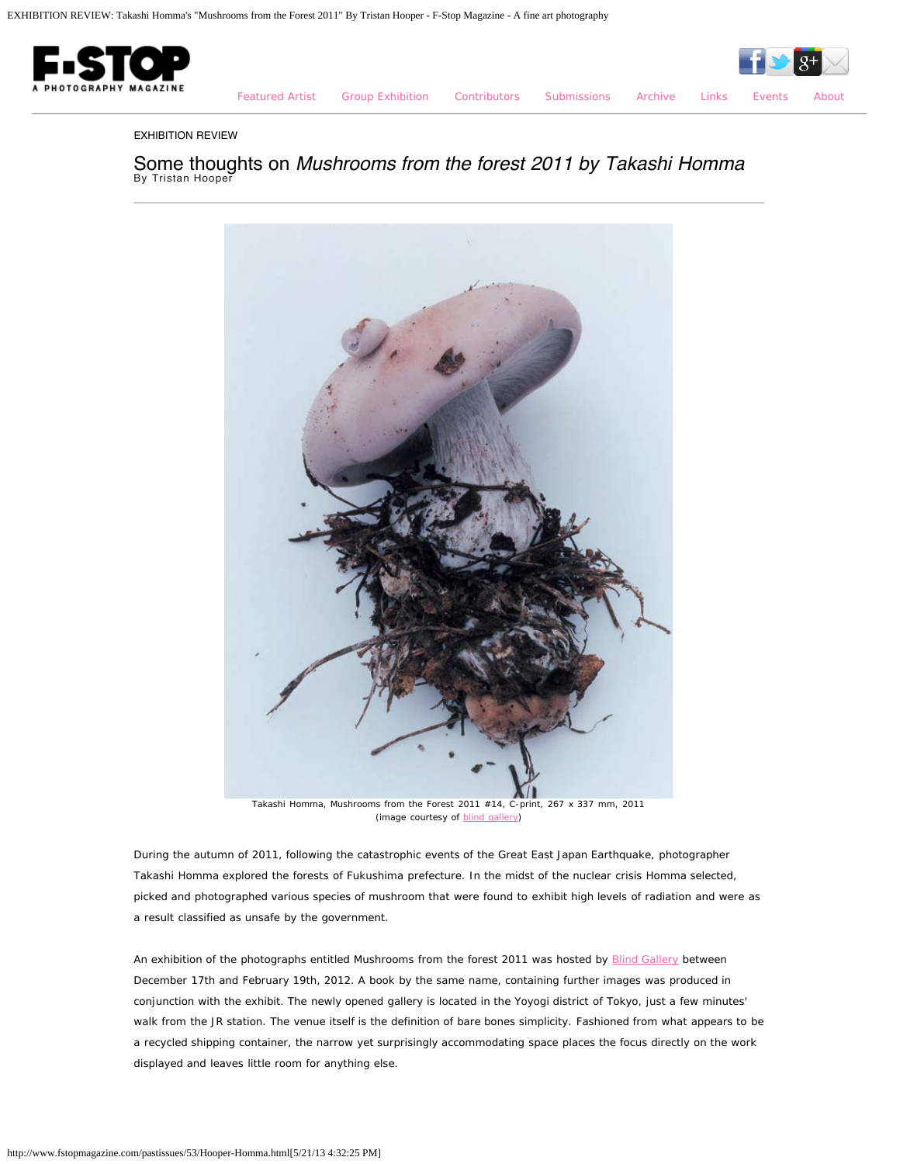

[Featured Artist](http://www.fstopmagazine.com/pastissues/53/featured.html) [Group Exhibition](http://www.fstopmagazine.com/pastissues/53/groupexhibition.html) [Contributors](http://www.fstopmagazine.com/pastissues/53/contributors.html) [Submissions](http://www.fstopmagazine.com/pastissues/53/submissions.html) [Archive](http://www.fstopmagazine.com/pastissues/53/archive.html) [Links](http://www.fstopmagazine.com/pastissues/53/links.html) [Events](http://www.fstopmagazine.com/blog/) [About](http://www.fstopmagazine.com/pastissues/53/about.html)

EXHIBITION REVIEW

Some thoughts on *Mushrooms from the forest 2011 by Takashi Homma* By Tristan Hooper



Takashi Homma, Mushrooms from the Forest 2011 #14, C-print, 267 x 337 mm, 2011 (image courtesy of [blind gallery](http://www.blind-gallery.jp/))

During the autumn of 2011, following the catastrophic events of the Great East Japan Earthquake, photographer Takashi Homma explored the forests of Fukushima prefecture. In the midst of the nuclear crisis Homma selected, picked and photographed various species of mushroom that were found to exhibit high levels of radiation and were as a result classified as unsafe by the government.

An exhibition of the photographs entitled Mushrooms from the forest 2011 was hosted by [Blind Gallery](http://www.blind-gallery.jp/) between December 17th and February 19th, 2012. A book by the same name, containing further images was produced in conjunction with the exhibit. The newly opened gallery is located in the Yoyogi district of Tokyo, just a few minutes' walk from the JR station. The venue itself is the definition of bare bones simplicity. Fashioned from what appears to be a recycled shipping container, the narrow yet surprisingly accommodating space places the focus directly on the work displayed and leaves little room for anything else.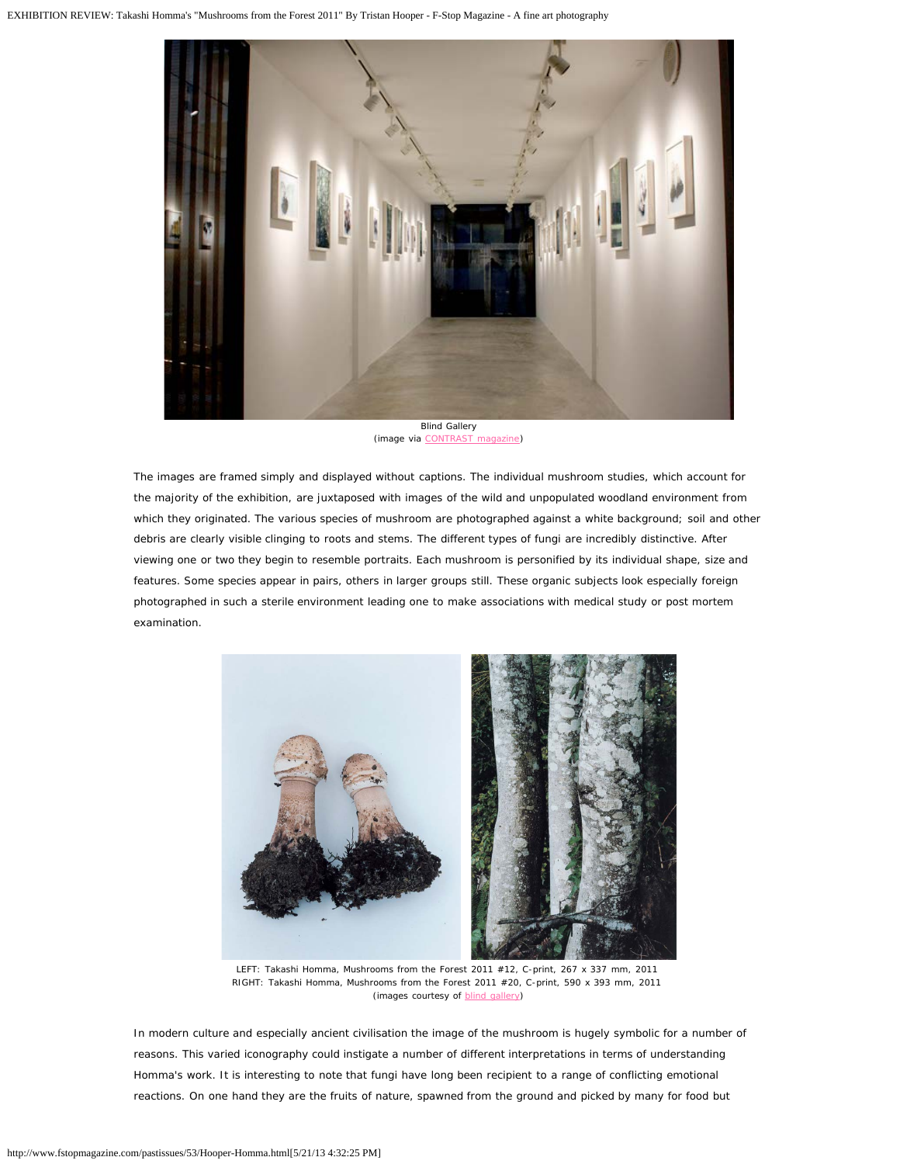

(image via [CONTRAST magazine\)](http://con-trast.jp/Report/1)

The images are framed simply and displayed without captions. The individual mushroom studies, which account for the majority of the exhibition, are juxtaposed with images of the wild and unpopulated woodland environment from which they originated. The various species of mushroom are photographed against a white background; soil and other debris are clearly visible clinging to roots and stems. The different types of fungi are incredibly distinctive. After viewing one or two they begin to resemble portraits. Each mushroom is personified by its individual shape, size and features. Some species appear in pairs, others in larger groups still. These organic subjects look especially foreign photographed in such a sterile environment leading one to make associations with medical study or post mortem examination.



LEFT: Takashi Homma, Mushrooms from the Forest 2011 #12, C-print, 267 x 337 mm, 2011 RIGHT: Takashi Homma, Mushrooms from the Forest 2011 #20, C-print, 590 x 393 mm, 2011 (images courtesy of **blind gallery**)

In modern culture and especially ancient civilisation the image of the mushroom is hugely symbolic for a number of reasons. This varied iconography could instigate a number of different interpretations in terms of understanding Homma's work. It is interesting to note that fungi have long been recipient to a range of conflicting emotional reactions. On one hand they are the fruits of nature, spawned from the ground and picked by many for food but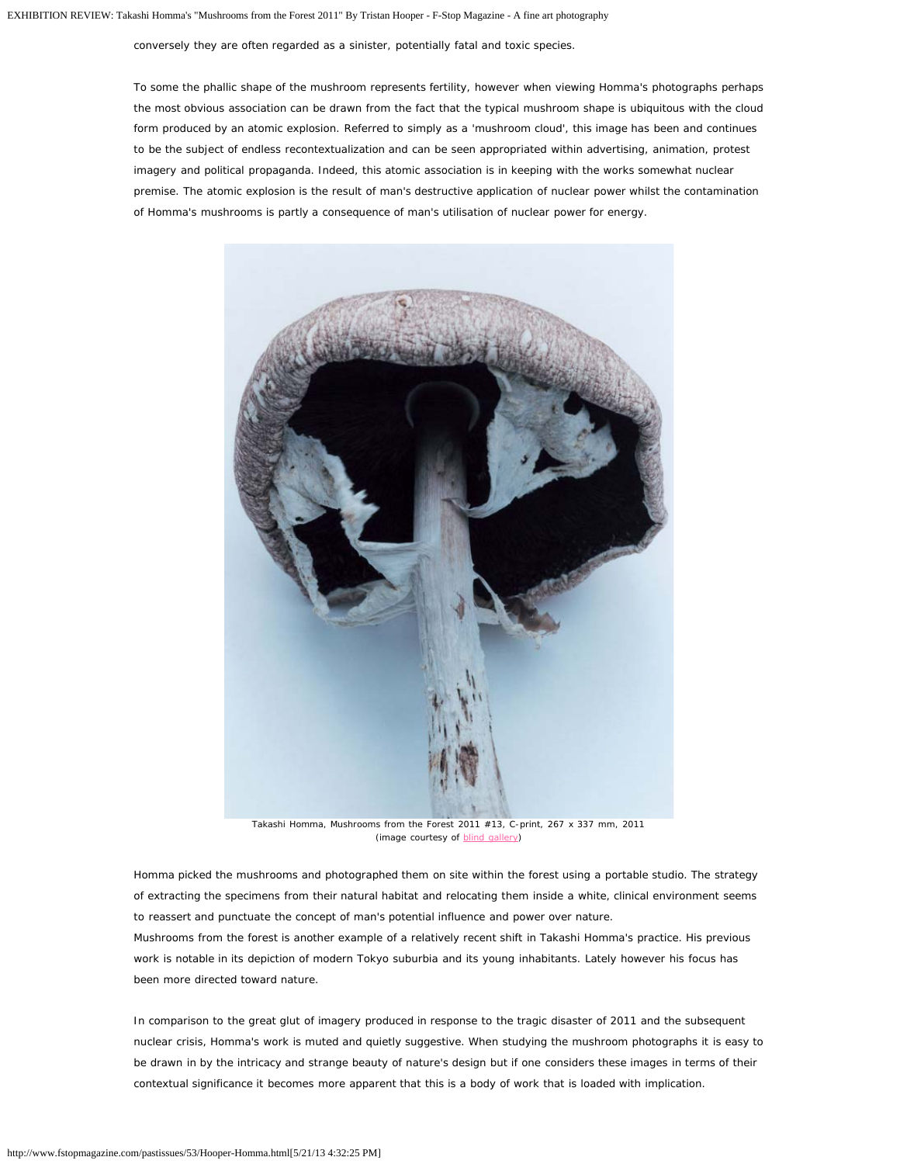conversely they are often regarded as a sinister, potentially fatal and toxic species.

To some the phallic shape of the mushroom represents fertility, however when viewing Homma's photographs perhaps the most obvious association can be drawn from the fact that the typical mushroom shape is ubiquitous with the cloud form produced by an atomic explosion. Referred to simply as a 'mushroom cloud', this image has been and continues to be the subject of endless recontextualization and can be seen appropriated within advertising, animation, protest imagery and political propaganda. Indeed, this atomic association is in keeping with the works somewhat nuclear premise. The atomic explosion is the result of man's destructive application of nuclear power whilst the contamination of Homma's mushrooms is partly a consequence of man's utilisation of nuclear power for energy.



Takashi Homma, Mushrooms from the Forest 2011 #13, C-print, 267 x 337 mm, 2011 (image courtesy of **blind gallery**)

Homma picked the mushrooms and photographed them on site within the forest using a portable studio. The strategy of extracting the specimens from their natural habitat and relocating them inside a white, clinical environment seems to reassert and punctuate the concept of man's potential influence and power over nature. Mushrooms from the forest is another example of a relatively recent shift in Takashi Homma's practice. His previous work is notable in its depiction of modern Tokyo suburbia and its young inhabitants. Lately however his focus has been more directed toward nature.

In comparison to the great glut of imagery produced in response to the tragic disaster of 2011 and the subsequent nuclear crisis, Homma's work is muted and quietly suggestive. When studying the mushroom photographs it is easy to be drawn in by the intricacy and strange beauty of nature's design but if one considers these images in terms of their contextual significance it becomes more apparent that this is a body of work that is loaded with implication.